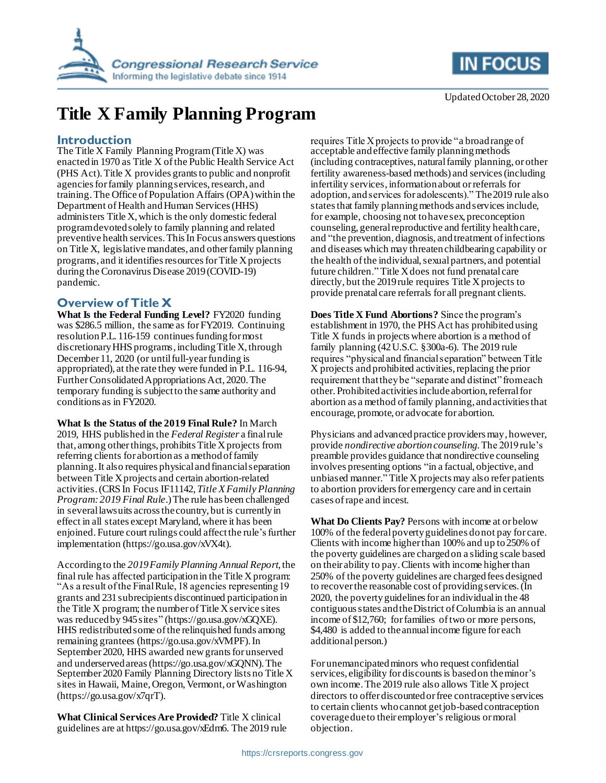



Updated October 28, 2020

# **Title X Family Planning Program**

#### **Introduction**

The Title X Family Planning Program (Title X) was enacted in 1970 as Title X of the Public Health Service Act (PHS Act). Title X provides grants to public and nonprofit agencies for family planning services, research, and training. The Office of Population Affairs (OPA) within the Department of Health and Human Services (HHS) administers Title X, which is the only domestic federal program devoted solely to family planning and related preventive health services. This In Focus answers questions on Title X, legislative mandates, and other family planning programs, and it identifies resourcesforTitle X projects during the Coronavirus Disease 2019 (COVID-19) pandemic.

### **Overview of Title X**

**What Is the Federal Funding Level?** FY2020 funding was \$286.5 million, the same as for FY2019. Continuing resolution P.L. 116-159 continues funding for most discretionary HHS programs, including Title X, through December 11, 2020 (or until full-year funding is appropriated), at the rate they were funded in P.L. 116-94, Further Consolidated Appropriations Act, 2020. The temporary funding is subject to the same authority and conditions as in FY2020.

**What Is the Status of the 2019 Final Rule?** In March 2019, HHS published in the *Federal Register* a final rule that, among other things, prohibits Title X projects from referring clients for abortion as a method of family planning. It also requires physical and financial separation between Title X projects and certain abortion-related activities. (CRS In Focus IF11142, *Title X Family Planning Program: 2019 Final Rule*.)The rule has been challenged in several lawsuits across the country, but is currently in effect in all states except Maryland, where it has been enjoined. Future court rulings could affectthe rule's further implementation (https://go.usa.gov/xVX4t).

According to the *2019Family Planning Annual Report*, the final rule has affected participation in the Title X program: "As a result of the Final Rule, 18 agencies representing 19 grants and 231 subrecipients discontinued participation in the Title X program; the number of Title X service sites was reduced by 945 sites" (https://go.usa.gov/xGQXE). HHS redistributed some of the relinquished funds among remaining grantees (https://go.usa.gov/xVMPF). In September 2020, HHS awarded newgrants for unserved and underserved areas (https://go.usa.gov/xGQNN). The September 2020 Family Planning Directory lists no Title X sites in Hawaii, Maine, Oregon, Vermont, or Washington (https://go.usa.gov/x7qrT).

**What Clinical Services Are Provided?** Title X clinical guidelines are at https://go.usa.gov/xEdm6. The 2019 rule requires Title X projects to provide "a broad range of acceptable and effective family planning methods (including contraceptives, natural family planning, or other fertility awareness-based methods) and services (including infertility services, information about or referrals for adoption, and services for adolescents)." The 2019 rule also states that family planning methods and services include, for example, choosing not to have sex, preconception counseling, general reproductive and fertility health care, and "the prevention, diagnosis, and treatment of infections and diseases which may threaten childbearing capability or the health of the individual, sexual partners, and potential future children." Title X does not fund prenatal care directly, but the 2019 rule requires Title X projects to provide prenatal care referrals for all pregnant clients.

**Does Title X Fund Abortions?** Since the program's establishment in 1970, the PHS Act has prohibited using Title X funds in projects where abortion is a method of family planning (42 U.S.C. §300a-6). The 2019 rule requires "physical and financial separation" between Title X projects and prohibited activities, replacing the prior requirement that they be "separate and distinct" from each other. Prohibited activities includeabortion, referral for abortion as a method of family planning, and activities that encourage, promote, or advocate for abortion.

Physicians and advanced practice providers may, however, provide *nondirective abortion counseling*. The 2019 rule's preamble provides guidance that nondirective counseling involves presenting options "in a factual, objective, and unbiased manner." Title X projects may also refer patients to abortion providers for emergency care and in certain cases of rape and incest.

**What Do Clients Pay?** Persons with income at or below 100% of the federal poverty guidelines donot pay for care. Clients with income higher than 100% and up to 250% of the poverty guidelines are charged on a sliding scale based on their ability to pay. Clients with income higher than 250% of the poverty guidelines are charged fees designed to recover the reasonable cost of providing services.(In 2020, the poverty guidelines for an individual in the 48 contiguous states and the District of Columbia is an annual income of \$12,760; for families of two or more persons, \$4,480 is added to the annual income figure for each additionalperson.)

For unemancipated minors who request confidential services, eligibility for discounts is based on the minor's own income.The 2019 rule also allows Title X project directors to offer discounted or free contraceptive services to certain clients who cannot get job-based contraception coverage due to their employer's religious or moral objection.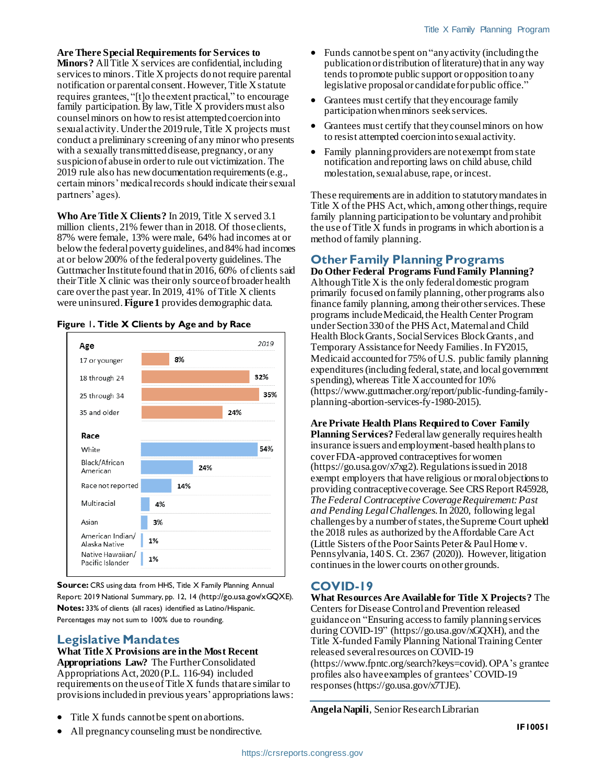**Are There Special Requirements for Services to Minors?** All Title X services are confidential, including services to minors. Title X projects donot require parental notification or parental consent.However,Title X statute requires grantees, "[t]o the extent practical," to encourage family participation. By law, Title X providers must also counsel minors on how to resist attempted coercion into sexual activity. Under the 2019 rule, Title X projects must conduct a preliminary screening of any minor who presents with a sexually transmitted disease, pregnancy, or any suspicion of abuse in order to rule out victimization. The 2019 rule also has new documentation requirements (e.g., certain minors' medical records should indicate their sexual partners' ages).

**Who Are Title X Clients?** In 2019, Title X served 3.1 million clients, 21% fewer than in 2018. Of those clients, 87% were female, 13% were male, 64% had incomes at or below the federal poverty guidelines, and 84% had incomes at or below 200% of the federal poverty guidelines. The Guttmacher Institute found that in 2016, 60% of clients said their Title X clinic was their only source of broader health care over the past year.In 2019, 41% of Title X clients were uninsured.**[Figure 1](#page-1-0)** provides demographic data.

<span id="page-1-0"></span>



**Source:** CRS using data from HHS, Title X Family Planning Annual Report: 2019 National Summary, pp. 12, 14 (http://go.usa.gov/xGQXE). **Notes:** 33% of clients (all races) identified as Latino/Hispanic. Percentages may not sum to 100% due to rounding.

### **Legislative Mandates**

**What Title X Provisions are in the Most Recent Appropriations Law?** The Further Consolidated Appropriations Act, 2020 (P.L. 116-94) included requirements on the use of Title X funds that are similar to provisions included in previous years' appropriations laws:

- Title X funds cannot be spent on abortions.
- All pregnancy counseling must be nondirective.
- Funds cannot be spent on "any activity (including the publication or distribution of literature) that in any way tends to promote public support or opposition to any legislative proposal or candidate for public office."
- Grantees must certify that they encourage family participation when minors seekservices.
- Grantees must certify that they counsel minors on how to resist attempted coercion into sexual activity.
- Family planning providers are not exempt from state notification and reporting laws on child abuse, child molestation, sexual abuse, rape, or incest.

These requirements are in addition to statutory mandates in Title X of the PHS Act, which, among other things, require family planning participation to be voluntary and prohibit the use of Title X funds in programs in which abortion is a method of family planning.

## **Other Family Planning Programs**

**Do Other Federal Programs Fund Family Planning?**  Although Title X is the only federal domestic program primarily focused on family planning, other programs also finance family planning, among their other services. These programs include Medicaid, the Health Center Program under Section 330 of the PHS Act, Maternal and Child Health Block Grants, Social Services Block Grants, and Temporary Assistance for Needy Families. In FY2015, Medicaid accounted for 75% of U.S. public family planning expenditures (including federal, state, and local government spending), whereas Title X accounted for 10% (https://www.guttmacher.org/report/public-funding-familyplanning-abortion-services-fy-1980-2015).

**Are Private Health Plans Required to Cover Family Planning Services?**Federal law generally requires health insurance issuers and employment-based health plans to cover FDA-approved contraceptives for women (https://go.usa.gov/x7xg2). Regulations issued in 2018 exempt employers that have religious or moral objections to providing contraceptive coverage. See CRS Report R45928, *The Federal Contraceptive Coverage Requirement: Past and Pending Legal Challenges*. In 2020, following legal challenges by a number of states, the Supreme Court upheld the 2018 rules as authorized by the Affordable Care Act (Little Sisters of the Poor Saints Peter & Paul Home v. Pennsylvania, 140 S. Ct. 2367 (2020)). However, litigation continues in the lower courts on other grounds.

### **COVID-19**

**What Resources Are Available for Title X Projects?** The Centers for Disease Control and Prevention released guidance on "Ensuring access to family planning services during COVID-19" (https://go.usa.gov/xGQXH), and the Title X-funded Family Planning National Training Center released several resources on COVID-19 (https://www.fpntc.org/search?keys=covid). OPA's grantee profiles also have examples of grantees' COVID-19 responses(https://go.usa.gov/x7TJE).

**Angela Napili**, Senior Research Librarian